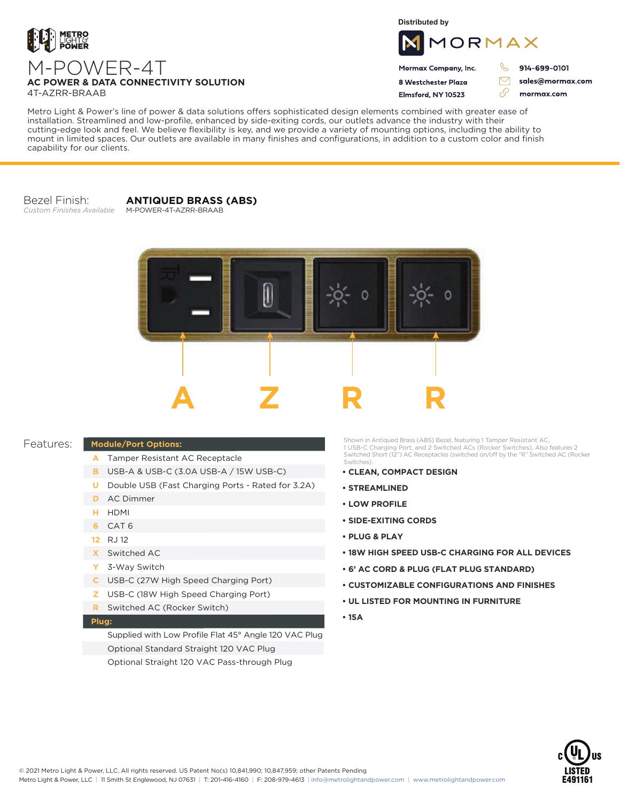

**Distributed by**



Mormax Company, Inc. 8 Westchester Plaza

Flmsford, NY 10523

914-699-0101

 $\triangledown$ 

76

sales@mormax.com mormax.com

**AC POWER & DATA CONNECTIVITY SOLUTION** 4T-AZRR-BRAAB

M-POWER-4T

Metro Light & Power's line of power & data solutions offers sophisticated design elements combined with greater ease of installation. Streamlined and low-profile, enhanced by side-exiting cords, our outlets advance the industry with their cutting-edge look and feel. We believe flexibility is key, and we provide a variety of mounting options, including the ability to mount in limited spaces. Our outlets are available in many finishes and configurations, in addition to a custom color and finish capability for our clients.

Bezel Finish: *Custom Finishes Available*

**ANTIQUED BRASS (ABS)** M-POWER-4T-AZRR-BRAAB



## Features:

## **Module/Port Options:**

- Tamper Resistant AC Receptacle **A**
- USB-A & USB-C (3.0A USB-A / 15W USB-C) **B**
- **U** Double USB (Fast Charging Ports Rated for 3.2A)
- AC Dimmer **D**
- HDMI **H**
- CAT 6 **6**
- RJ 12 **12**
- Switched AC **X**
- 3-Way Switch **Y**
- USB-C (27W High Speed Charging Port) **C**
- USB-C (18W High Speed Charging Port) **Z**
- Switched AC (Rocker Switch) **R**

## **Plug:**

Supplied with Low Profile Flat 45° Angle 120 VAC Plug Optional Standard Straight 120 VAC Plug Optional Straight 120 VAC Pass-through Plug

Shown in Antiqued Brass (ABS) Bezel, featuring 1 Tamper Resistant AC, 1 USB-C Charging Port, and 2 Switched ACs (Rocker Switches). Also features 2 Switched Short (12") AC Receptacles (switched on/off by the "R" Switched AC (Rocker Switches).

- **CLEAN, COMPACT DESIGN**
- **STREAMLINED**
- **LOW PROFILE**
- **SIDE-EXITING CORDS**
- **PLUG & PLAY**
- **18W HIGH SPEED USB-C CHARGING FOR ALL DEVICES**
- **6' AC CORD & PLUG (FLAT PLUG STANDARD)**
- **CUSTOMIZABLE CONFIGURATIONS AND FINISHES**
- **UL LISTED FOR MOUNTING IN FURNITURE**
- **15A**